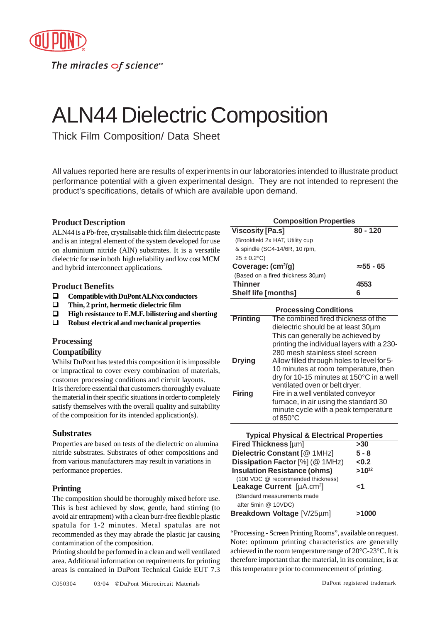

The miracles  $\sigma$ f science<sup>-1</sup>

# ALN44 Dielectric Composition

Thick Film Composition/ Data Sheet

All values reported here are results of experiments in our laboratories intended to illustrate product performance potential with a given experimental design. They are not intended to represent the product's specifications, details of which are available upon demand.

# **Product Description**

ALN44 is a Pb-free, crystalisable thick film dielectric paste and is an integral element of the system developed for use on aluminium nitride (AlN) substrates. It is a versatile dielectric for use in both high reliability and low cost MCM and hybrid interconnect applications.

#### **Product Benefits**

- ! **Compatible with DuPont ALNxx conductors**
- ! **Thin, 2 print, hermetic dielectric film**
- ! **High resistance to E.M.F. bilistering and shorting**
- ! **Robust electrical and mechanical properties**

## **Processing**

## **Compatibility**

Whilst DuPont has tested this composition it is impossible or impractical to cover every combination of materials, customer processing conditions and circuit layouts. It is therefore essential that customers thoroughly evaluate the material in their specific situations in order to completely satisfy themselves with the overall quality and suitability of the composition for its intended application(s).

## **Substrates**

Properties are based on tests of the dielectric on alumina nitride substrates. Substrates of other compositions and from various manufacturers may result in variations in performance properties.

# **Printing**

The composition should be thoroughly mixed before use. This is best achieved by slow, gentle, hand stirring (to avoid air entrapment) with a clean burr-free flexible plastic spatula for 1-2 minutes. Metal spatulas are not recommended as they may abrade the plastic jar causing contamination of the composition.

Printing should be performed in a clean and well ventilated area. Additional information on requirements for printing areas is contained in DuPont Technical Guide EUT 7.3

| <b>Viscosity [Pa.s]</b>           | $80 - 120$        |
|-----------------------------------|-------------------|
| (Brookfield 2x HAT, Utility cup   |                   |
| & spindle (SC4-14/6R, 10 rpm,     |                   |
| $25 \pm 0.2$ °C)                  |                   |
| Coverage: (cm <sup>2</sup> /g)    | $\approx 55$ - 65 |
| (Based on a fired thickness 30um) |                   |
| <b>Thinner</b>                    | 4553              |
| <b>Shelf life [months]</b>        | 6                 |

| <b>Processing Conditions</b> |                                            |  |
|------------------------------|--------------------------------------------|--|
| <b>Printing</b>              | The combined fired thickness of the        |  |
|                              | dielectric should be at least 30um         |  |
|                              | This can generally be achieved by          |  |
|                              | printing the individual layers with a 230- |  |
|                              | 280 mesh stainless steel screen            |  |
| <b>Drying</b>                | Allow filled through holes to level for 5- |  |
|                              | 10 minutes at room temperature, then       |  |
|                              | dry for 10-15 minutes at 150°C in a well   |  |
|                              | ventilated oven or belt dryer.             |  |
| <b>Firing</b>                | Fire in a well ventilated conveyor         |  |
|                              | furnace, in air using the standard 30      |  |
|                              | minute cycle with a peak temperature       |  |
|                              | of $850^{\circ}$ C                         |  |

| <b>Typical Physical &amp; Electrical Properties</b> |            |  |  |
|-----------------------------------------------------|------------|--|--|
| <b>Fired Thickness [µm]</b>                         | >30        |  |  |
| Dielectric Constant [@ 1MHz]                        | $5 - 8$    |  |  |
| Dissipation Factor [%] (@ 1MHz)                     | < 0.2      |  |  |
| <b>Insulation Resistance (ohms)</b>                 | $>10^{12}$ |  |  |
| (100 VDC @ recommended thickness)                   |            |  |  |
| Leakage Current [µA.cm <sup>2</sup> ]               | ہے         |  |  |
| (Standard measurements made                         |            |  |  |
| after 5min @ 10VDC)                                 |            |  |  |
| Breakdown Voltage [V/25µm]                          | >1000      |  |  |

"Processing - Screen Printing Rooms", available on request. Note: optimum printing characteristics are generally achieved in the room temperature range of 20°C-23°C. It is therefore important that the material, in its container, is at this temperature prior to commencement of printing.